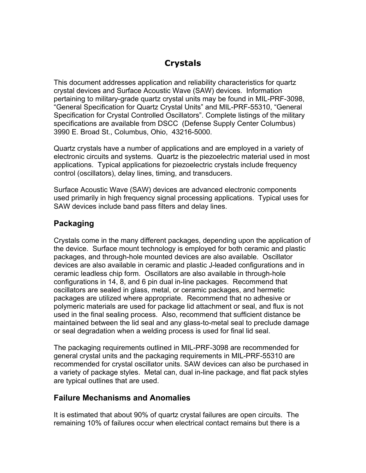# **Crystals**

This document addresses application and reliability characteristics for quartz crystal devices and Surface Acoustic Wave (SAW) devices. Information pertaining to military-grade quartz crystal units may be found in MIL-PRF-3098, "General Specification for Quartz Crystal Units" and MIL-PRF-55310, "General Specification for Crystal Controlled Oscillators". Complete listings of the military specifications are available from DSCC (Defense Supply Center Columbus) 3990 E. Broad St., Columbus, Ohio, 43216-5000.

Quartz crystals have a number of applications and are employed in a variety of electronic circuits and systems. Quartz is the piezoelectric material used in most applications. Typical applications for piezoelectric crystals include frequency control (oscillators), delay lines, timing, and transducers.

Surface Acoustic Wave (SAW) devices are advanced electronic components used primarily in high frequency signal processing applications. Typical uses for SAW devices include band pass filters and delay lines.

### **Packaging**

Crystals come in the many different packages, depending upon the application of the device. Surface mount technology is employed for both ceramic and plastic packages, and through-hole mounted devices are also available. Oscillator devices are also available in ceramic and plastic J-leaded configurations and in ceramic leadless chip form. Oscillators are also available in through-hole configurations in 14, 8, and 6 pin dual in-line packages. Recommend that oscillators are sealed in glass, metal, or ceramic packages, and hermetic packages are utilized where appropriate. Recommend that no adhesive or polymeric materials are used for package lid attachment or seal, and flux is not used in the final sealing process. Also, recommend that sufficient distance be maintained between the lid seal and any glass-to-metal seal to preclude damage or seal degradation when a welding process is used for final lid seal.

The packaging requirements outlined in MIL-PRF-3098 are recommended for general crystal units and the packaging requirements in MIL-PRF-55310 are recommended for crystal oscillator units. SAW devices can also be purchased in a variety of package styles. Metal can, dual in-line package, and flat pack styles are typical outlines that are used.

### **Failure Mechanisms and Anomalies**

It is estimated that about 90% of quartz crystal failures are open circuits. The remaining 10% of failures occur when electrical contact remains but there is a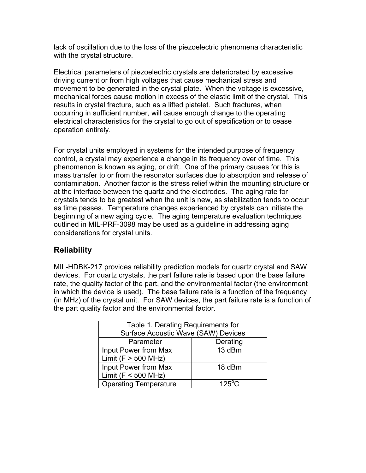lack of oscillation due to the loss of the piezoelectric phenomena characteristic with the crystal structure.

Electrical parameters of piezoelectric crystals are deteriorated by excessive driving current or from high voltages that cause mechanical stress and movement to be generated in the crystal plate. When the voltage is excessive, mechanical forces cause motion in excess of the elastic limit of the crystal. This results in crystal fracture, such as a lifted platelet. Such fractures, when occurring in sufficient number, will cause enough change to the operating electrical characteristics for the crystal to go out of specification or to cease operation entirely.

For crystal units employed in systems for the intended purpose of frequency control, a crystal may experience a change in its frequency over of time. This phenomenon is known as aging, or drift. One of the primary causes for this is mass transfer to or from the resonator surfaces due to absorption and release of contamination. Another factor is the stress relief within the mounting structure or at the interface between the quartz and the electrodes. The aging rate for crystals tends to be greatest when the unit is new, as stabilization tends to occur as time passes. Temperature changes experienced by crystals can initiate the beginning of a new aging cycle. The aging temperature evaluation techniques outlined in MIL-PRF-3098 may be used as a guideline in addressing aging considerations for crystal units.

#### **Reliability**

MIL-HDBK-217 provides reliability prediction models for quartz crystal and SAW devices. For quartz crystals, the part failure rate is based upon the base failure rate, the quality factor of the part, and the environmental factor (the environment in which the device is used). The base failure rate is a function of the frequency (in MHz) of the crystal unit. For SAW devices, the part failure rate is a function of the part quality factor and the environmental factor.

| Table 1. Derating Requirements for  |                 |
|-------------------------------------|-----------------|
| Surface Acoustic Wave (SAW) Devices |                 |
| Parameter                           | Derating        |
| Input Power from Max                | 13 dBm          |
| Limit ( $F > 500$ MHz)              |                 |
| Input Power from Max                | 18 dBm          |
| Limit ( $F < 500$ MHz)              |                 |
| <b>Operating Temperature</b>        | $125^{\circ}$ C |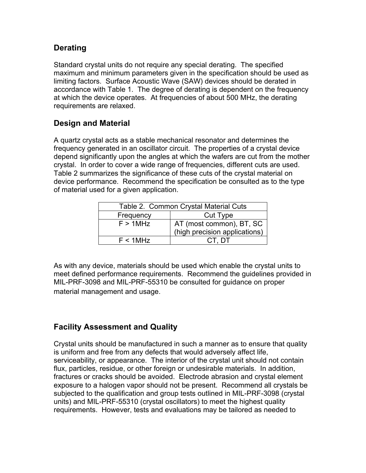#### **Derating**

Standard crystal units do not require any special derating. The specified maximum and minimum parameters given in the specification should be used as limiting factors. Surface Acoustic Wave (SAW) devices should be derated in accordance with Table 1. The degree of derating is dependent on the frequency at which the device operates. At frequencies of about 500 MHz, the derating requirements are relaxed.

#### **Design and Material**

A quartz crystal acts as a stable mechanical resonator and determines the frequency generated in an oscillator circuit. The properties of a crystal device depend significantly upon the angles at which the wafers are cut from the mother crystal. In order to cover a wide range of frequencies, different cuts are used. Table 2 summarizes the significance of these cuts of the crystal material on device performance. Recommend the specification be consulted as to the type of material used for a given application.

| Table 2. Common Crystal Material Cuts |                                                                                      |
|---------------------------------------|--------------------------------------------------------------------------------------|
| Frequency                             | <b>Cut Type</b>                                                                      |
| $F > 1$ MHz                           | AT (most common), $\overline{BT}$ , $\overline{SC}$<br>(high precision applications) |
| $F < 1$ MHz                           | CL DI                                                                                |

As with any device, materials should be used which enable the crystal units to meet defined performance requirements. Recommend the guidelines provided in MIL-PRF-3098 and MIL-PRF-55310 be consulted for guidance on proper material management and usage.

### **Facility Assessment and Quality**

Crystal units should be manufactured in such a manner as to ensure that quality is uniform and free from any defects that would adversely affect life, serviceability, or appearance. The interior of the crystal unit should not contain flux, particles, residue, or other foreign or undesirable materials. In addition, fractures or cracks should be avoided. Electrode abrasion and crystal element exposure to a halogen vapor should not be present. Recommend all crystals be subjected to the qualification and group tests outlined in MIL-PRF-3098 (crystal units) and MIL-PRF-55310 (crystal oscillators) to meet the highest quality requirements. However, tests and evaluations may be tailored as needed to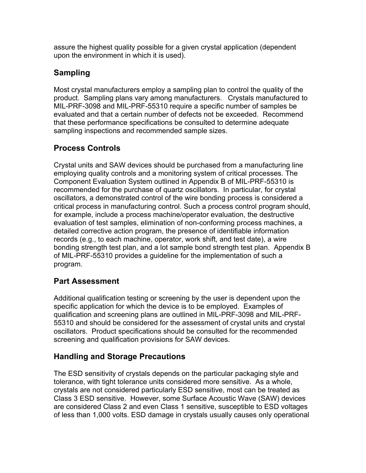assure the highest quality possible for a given crystal application (dependent upon the environment in which it is used).

### **Sampling**

Most crystal manufacturers employ a sampling plan to control the quality of the product. Sampling plans vary among manufacturers. Crystals manufactured to MIL-PRF-3098 and MIL-PRF-55310 require a specific number of samples be evaluated and that a certain number of defects not be exceeded. Recommend that these performance specifications be consulted to determine adequate sampling inspections and recommended sample sizes.

# **Process Controls**

Crystal units and SAW devices should be purchased from a manufacturing line employing quality controls and a monitoring system of critical processes. The Component Evaluation System outlined in Appendix B of MIL-PRF-55310 is recommended for the purchase of quartz oscillators. In particular, for crystal oscillators, a demonstrated control of the wire bonding process is considered a critical process in manufacturing control. Such a process control program should, for example, include a process machine/operator evaluation, the destructive evaluation of test samples, elimination of non-conforming process machines, a detailed corrective action program, the presence of identifiable information records (e.g., to each machine, operator, work shift, and test date), a wire bonding strength test plan, and a lot sample bond strength test plan. Appendix B of MIL-PRF-55310 provides a guideline for the implementation of such a program.

### **Part Assessment**

Additional qualification testing or screening by the user is dependent upon the specific application for which the device is to be employed. Examples of qualification and screening plans are outlined in MIL-PRF-3098 and MIL-PRF-55310 and should be considered for the assessment of crystal units and crystal oscillators. Product specifications should be consulted for the recommended screening and qualification provisions for SAW devices.

### **Handling and Storage Precautions**

The ESD sensitivity of crystals depends on the particular packaging style and tolerance, with tight tolerance units considered more sensitive. As a whole, crystals are not considered particularly ESD sensitive, most can be treated as Class 3 ESD sensitive. However, some Surface Acoustic Wave (SAW) devices are considered Class 2 and even Class 1 sensitive, susceptible to ESD voltages of less than 1,000 volts. ESD damage in crystals usually causes only operational